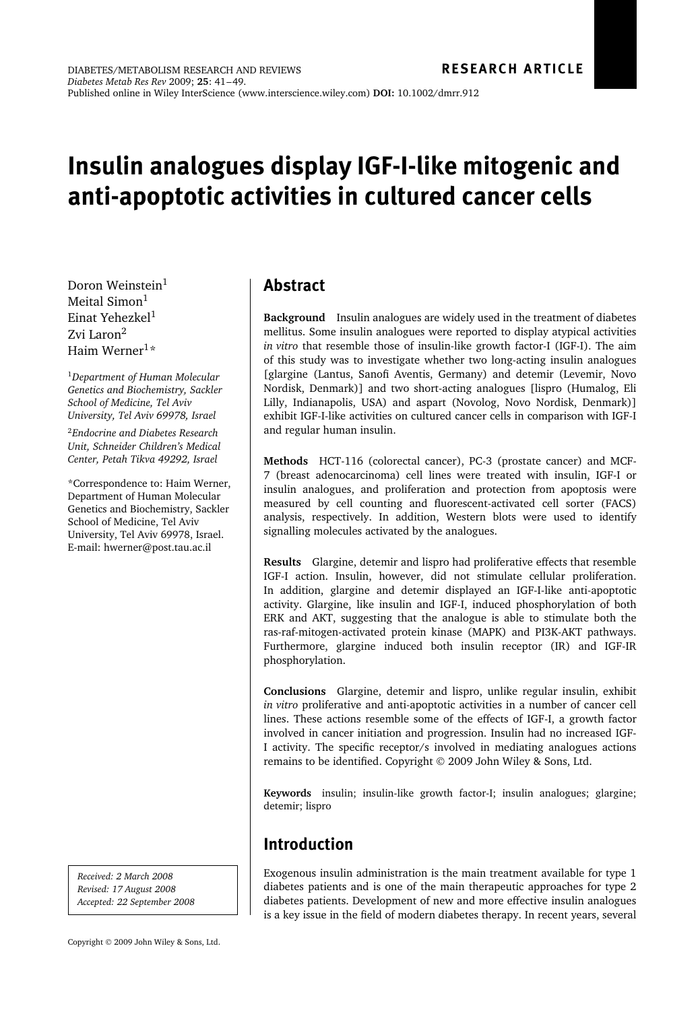# **Insulin analogues display IGF-I-like mitogenic and anti-apoptotic activities in cultured cancer cells**

Doron Weinstein<sup>1</sup> Meital Simon<sup>1</sup> Einat Yehezkel $1$ Zvi Laron<sup>2</sup> Haim Werner<sup>1\*</sup>

<sup>1</sup>*Department of Human Molecular Genetics and Biochemistry, Sackler School of Medicine, Tel Aviv University, Tel Aviv 69978, Israel*

<sup>2</sup>*Endocrine and Diabetes Research Unit, Schneider Children's Medical Center, Petah Tikva 49292, Israel*

\*Correspondence to: Haim Werner, Department of Human Molecular Genetics and Biochemistry, Sackler School of Medicine, Tel Aviv University, Tel Aviv 69978, Israel. E-mail: hwerner@post.tau.ac.il

*Received: 2 March 2008 Revised: 17 August 2008 Accepted: 22 September 2008*

### **Abstract**

**Background** Insulin analogues are widely used in the treatment of diabetes mellitus. Some insulin analogues were reported to display atypical activities *in vitro* that resemble those of insulin-like growth factor-I (IGF-I). The aim of this study was to investigate whether two long-acting insulin analogues [glargine (Lantus, Sanofi Aventis, Germany) and detemir (Levemir, Novo Nordisk, Denmark)] and two short-acting analogues [lispro (Humalog, Eli Lilly, Indianapolis, USA) and aspart (Novolog, Novo Nordisk, Denmark)] exhibit IGF-I-like activities on cultured cancer cells in comparison with IGF-I and regular human insulin.

**Methods** HCT-116 (colorectal cancer), PC-3 (prostate cancer) and MCF-7 (breast adenocarcinoma) cell lines were treated with insulin, IGF-I or insulin analogues, and proliferation and protection from apoptosis were measured by cell counting and fluorescent-activated cell sorter (FACS) analysis, respectively. In addition, Western blots were used to identify signalling molecules activated by the analogues.

**Results** Glargine, detemir and lispro had proliferative effects that resemble IGF-I action. Insulin, however, did not stimulate cellular proliferation. In addition, glargine and detemir displayed an IGF-I-like anti-apoptotic activity. Glargine, like insulin and IGF-I, induced phosphorylation of both ERK and AKT, suggesting that the analogue is able to stimulate both the ras-raf-mitogen-activated protein kinase (MAPK) and PI3K-AKT pathways. Furthermore, glargine induced both insulin receptor (IR) and IGF-IR phosphorylation.

**Conclusions** Glargine, detemir and lispro, unlike regular insulin, exhibit *in vitro* proliferative and anti-apoptotic activities in a number of cancer cell lines. These actions resemble some of the effects of IGF-I, a growth factor involved in cancer initiation and progression. Insulin had no increased IGF-I activity. The specific receptor/s involved in mediating analogues actions remains to be identified. Copyright © 2009 John Wiley & Sons, Ltd.

**Keywords** insulin; insulin-like growth factor-I; insulin analogues; glargine; detemir; lispro

## **Introduction**

Exogenous insulin administration is the main treatment available for type 1 diabetes patients and is one of the main therapeutic approaches for type 2 diabetes patients. Development of new and more effective insulin analogues is a key issue in the field of modern diabetes therapy. In recent years, several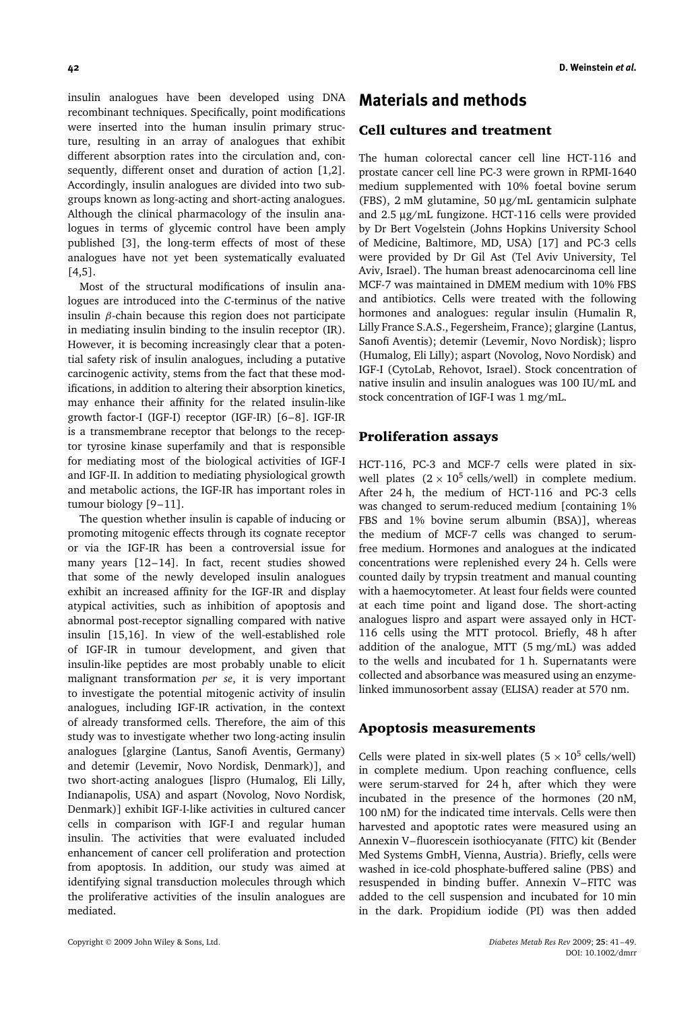insulin analogues have been developed using DNA recombinant techniques. Specifically, point modifications were inserted into the human insulin primary structure, resulting in an array of analogues that exhibit different absorption rates into the circulation and, consequently, different onset and duration of action [1,2]. Accordingly, insulin analogues are divided into two subgroups known as long-acting and short-acting analogues. Although the clinical pharmacology of the insulin analogues in terms of glycemic control have been amply published [3], the long-term effects of most of these analogues have not yet been systematically evaluated [4,5].

Most of the structural modifications of insulin analogues are introduced into the *C*-terminus of the native insulin *β*-chain because this region does not participate in mediating insulin binding to the insulin receptor (IR). However, it is becoming increasingly clear that a potential safety risk of insulin analogues, including a putative carcinogenic activity, stems from the fact that these modifications, in addition to altering their absorption kinetics, may enhance their affinity for the related insulin-like growth factor-I (IGF-I) receptor (IGF-IR) [6–8]. IGF-IR is a transmembrane receptor that belongs to the receptor tyrosine kinase superfamily and that is responsible for mediating most of the biological activities of IGF-I and IGF-II. In addition to mediating physiological growth and metabolic actions, the IGF-IR has important roles in tumour biology [9–11].

The question whether insulin is capable of inducing or promoting mitogenic effects through its cognate receptor or via the IGF-IR has been a controversial issue for many years [12–14]. In fact, recent studies showed that some of the newly developed insulin analogues exhibit an increased affinity for the IGF-IR and display atypical activities, such as inhibition of apoptosis and abnormal post-receptor signalling compared with native insulin [15,16]. In view of the well-established role of IGF-IR in tumour development, and given that insulin-like peptides are most probably unable to elicit malignant transformation *per se*, it is very important to investigate the potential mitogenic activity of insulin analogues, including IGF-IR activation, in the context of already transformed cells. Therefore, the aim of this study was to investigate whether two long-acting insulin analogues [glargine (Lantus, Sanofi Aventis, Germany) and detemir (Levemir, Novo Nordisk, Denmark)], and two short-acting analogues [lispro (Humalog, Eli Lilly, Indianapolis, USA) and aspart (Novolog, Novo Nordisk, Denmark)] exhibit IGF-I-like activities in cultured cancer cells in comparison with IGF-I and regular human insulin. The activities that were evaluated included enhancement of cancer cell proliferation and protection from apoptosis. In addition, our study was aimed at identifying signal transduction molecules through which the proliferative activities of the insulin analogues are mediated.

#### Copyright 2009 John Wiley & Sons, Ltd. *Diabetes Metab Res Rev* 2009; **25**: 41–49.

### **Materials and methods**

### Cell cultures and treatment

The human colorectal cancer cell line HCT-116 and prostate cancer cell line PC-3 were grown in RPMI-1640 medium supplemented with 10% foetal bovine serum (FBS), 2 mM glutamine, 50 µg/mL gentamicin sulphate and 2*.*5 µg/mL fungizone. HCT-116 cells were provided by Dr Bert Vogelstein (Johns Hopkins University School of Medicine, Baltimore, MD, USA) [17] and PC-3 cells were provided by Dr Gil Ast (Tel Aviv University, Tel Aviv, Israel). The human breast adenocarcinoma cell line MCF-7 was maintained in DMEM medium with 10% FBS and antibiotics. Cells were treated with the following hormones and analogues: regular insulin (Humalin R, Lilly France S.A.S., Fegersheim, France); glargine (Lantus, Sanofi Aventis); detemir (Levemir, Novo Nordisk); lispro (Humalog, Eli Lilly); aspart (Novolog, Novo Nordisk) and IGF-I (CytoLab, Rehovot, Israel). Stock concentration of native insulin and insulin analogues was 100 IU/mL and stock concentration of IGF-I was 1 mg/mL.

#### Proliferation assays

HCT-116, PC-3 and MCF-7 cells were plated in sixwell plates  $(2 \times 10^5 \text{ cells/well})$  in complete medium. After 24 h, the medium of HCT-116 and PC-3 cells was changed to serum-reduced medium [containing 1% FBS and 1% bovine serum albumin (BSA)], whereas the medium of MCF-7 cells was changed to serumfree medium. Hormones and analogues at the indicated concentrations were replenished every 24 h. Cells were counted daily by trypsin treatment and manual counting with a haemocytometer. At least four fields were counted at each time point and ligand dose. The short-acting analogues lispro and aspart were assayed only in HCT-116 cells using the MTT protocol. Briefly, 48 h after addition of the analogue, MTT (5 mg/mL) was added to the wells and incubated for 1 h. Supernatants were collected and absorbance was measured using an enzymelinked immunosorbent assay (ELISA) reader at 570 nm.

#### Apoptosis measurements

Cells were plated in six-well plates ( $5 \times 10^5$  cells/well) in complete medium. Upon reaching confluence, cells were serum-starved for 24 h, after which they were incubated in the presence of the hormones (20 nM, 100 nM) for the indicated time intervals. Cells were then harvested and apoptotic rates were measured using an Annexin V–fluorescein isothiocyanate (FITC) kit (Bender Med Systems GmbH, Vienna, Austria). Briefly, cells were washed in ice-cold phosphate-buffered saline (PBS) and resuspended in binding buffer. Annexin V–FITC was added to the cell suspension and incubated for 10 min in the dark. Propidium iodide (PI) was then added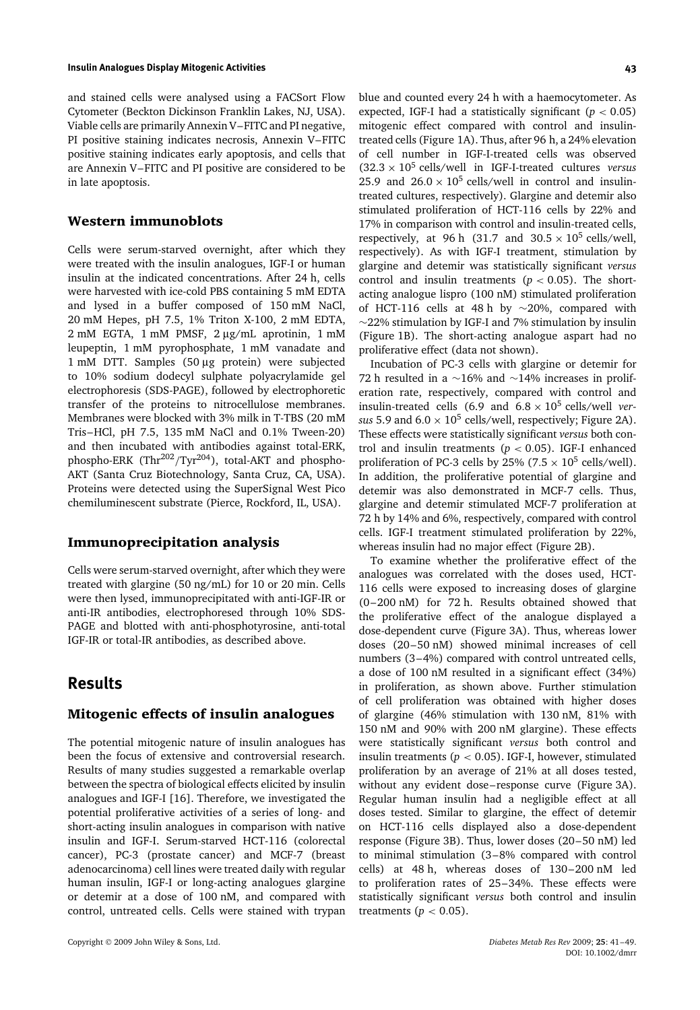and stained cells were analysed using a FACSort Flow Cytometer (Beckton Dickinson Franklin Lakes, NJ, USA). Viable cells are primarily Annexin V–FITC and PI negative, PI positive staining indicates necrosis, Annexin V–FITC positive staining indicates early apoptosis, and cells that are Annexin V–FITC and PI positive are considered to be in late apoptosis.

#### Western immunoblots

Cells were serum-starved overnight, after which they were treated with the insulin analogues, IGF-I or human insulin at the indicated concentrations. After 24 h, cells were harvested with ice-cold PBS containing 5 mM EDTA and lysed in a buffer composed of 150 mM NaCl, 20 mM Hepes, pH 7.5, 1% Triton X-100, 2 mM EDTA, 2 mM EGTA, 1 mM PMSF, 2 µg/mL aprotinin, 1 mM leupeptin, 1 mM pyrophosphate, 1 mM vanadate and 1 mM DTT. Samples (50 µg protein) were subjected to 10% sodium dodecyl sulphate polyacrylamide gel electrophoresis (SDS-PAGE), followed by electrophoretic transfer of the proteins to nitrocellulose membranes. Membranes were blocked with 3% milk in T-TBS (20 mM Tris–HCl, pH 7.5, 135 mM NaCl and 0.1% Tween-20) and then incubated with antibodies against total-ERK, phospho-ERK (Thr<sup>202</sup>/Tyr<sup>204</sup>), total-AKT and phospho-AKT (Santa Cruz Biotechnology, Santa Cruz, CA, USA). Proteins were detected using the SuperSignal West Pico chemiluminescent substrate (Pierce, Rockford, IL, USA).

#### Immunoprecipitation analysis

Cells were serum-starved overnight, after which they were treated with glargine (50 ng/mL) for 10 or 20 min. Cells were then lysed, immunoprecipitated with anti-IGF-IR or anti-IR antibodies, electrophoresed through 10% SDS-PAGE and blotted with anti-phosphotyrosine, anti-total IGF-IR or total-IR antibodies, as described above.

### **Results**

#### Mitogenic effects of insulin analogues

The potential mitogenic nature of insulin analogues has been the focus of extensive and controversial research. Results of many studies suggested a remarkable overlap between the spectra of biological effects elicited by insulin analogues and IGF-I [16]. Therefore, we investigated the potential proliferative activities of a series of long- and short-acting insulin analogues in comparison with native insulin and IGF-I. Serum-starved HCT-116 (colorectal cancer), PC-3 (prostate cancer) and MCF-7 (breast adenocarcinoma) cell lines were treated daily with regular human insulin, IGF-I or long-acting analogues glargine or detemir at a dose of 100 nM, and compared with control, untreated cells. Cells were stained with trypan

blue and counted every 24 h with a haemocytometer. As expected, IGF-I had a statistically significant ( $p < 0.05$ ) mitogenic effect compared with control and insulintreated cells (Figure 1A). Thus, after 96 h, a 24% elevation of cell number in IGF-I-treated cells was observed  $(32.3 \times 10^5 \text{ cells/well}$  in IGF-I-treated cultures *versus* 25.9 and  $26.0 \times 10^5$  cells/well in control and insulintreated cultures, respectively). Glargine and detemir also stimulated proliferation of HCT-116 cells by 22% and 17% in comparison with control and insulin-treated cells, respectively, at 96 h (31.7 and  $30.5 \times 10^5$  cells/well, respectively). As with IGF-I treatment, stimulation by glargine and detemir was statistically significant *versus* control and insulin treatments ( $p < 0.05$ ). The shortacting analogue lispro (100 nM) stimulated proliferation of HCT-116 cells at 48 h by ∼20%, compared with ∼22% stimulation by IGF-I and 7% stimulation by insulin (Figure 1B). The short-acting analogue aspart had no proliferative effect (data not shown).

Incubation of PC-3 cells with glargine or detemir for 72 h resulted in a ∼16% and ∼14% increases in proliferation rate, respectively, compared with control and insulin-treated cells (6.9 and  $6.8 \times 10^5$  cells/well *versus* 5.9 and  $6.0 \times 10^5$  cells/well, respectively; Figure 2A). These effects were statistically significant *versus* both control and insulin treatments (*p <* 0*.*05). IGF-I enhanced proliferation of PC-3 cells by  $25\%$  (7.5  $\times$  10<sup>5</sup> cells/well). In addition, the proliferative potential of glargine and detemir was also demonstrated in MCF-7 cells. Thus, glargine and detemir stimulated MCF-7 proliferation at 72 h by 14% and 6%, respectively, compared with control cells. IGF-I treatment stimulated proliferation by 22%, whereas insulin had no major effect (Figure 2B).

To examine whether the proliferative effect of the analogues was correlated with the doses used, HCT-116 cells were exposed to increasing doses of glargine (0–200 nM) for 72 h. Results obtained showed that the proliferative effect of the analogue displayed a dose-dependent curve (Figure 3A). Thus, whereas lower doses (20–50 nM) showed minimal increases of cell numbers (3–4%) compared with control untreated cells, a dose of 100 nM resulted in a significant effect (34%) in proliferation, as shown above. Further stimulation of cell proliferation was obtained with higher doses of glargine (46% stimulation with 130 nM, 81% with 150 nM and 90% with 200 nM glargine). These effects were statistically significant *versus* both control and insulin treatments (*p <* 0*.*05). IGF-I, however, stimulated proliferation by an average of 21% at all doses tested, without any evident dose–response curve (Figure 3A). Regular human insulin had a negligible effect at all doses tested. Similar to glargine, the effect of detemir on HCT-116 cells displayed also a dose-dependent response (Figure 3B). Thus, lower doses (20–50 nM) led to minimal stimulation (3–8% compared with control cells) at 48 h, whereas doses of 130–200 nM led to proliferation rates of 25–34%. These effects were statistically significant *versus* both control and insulin treatments ( $p < 0.05$ ).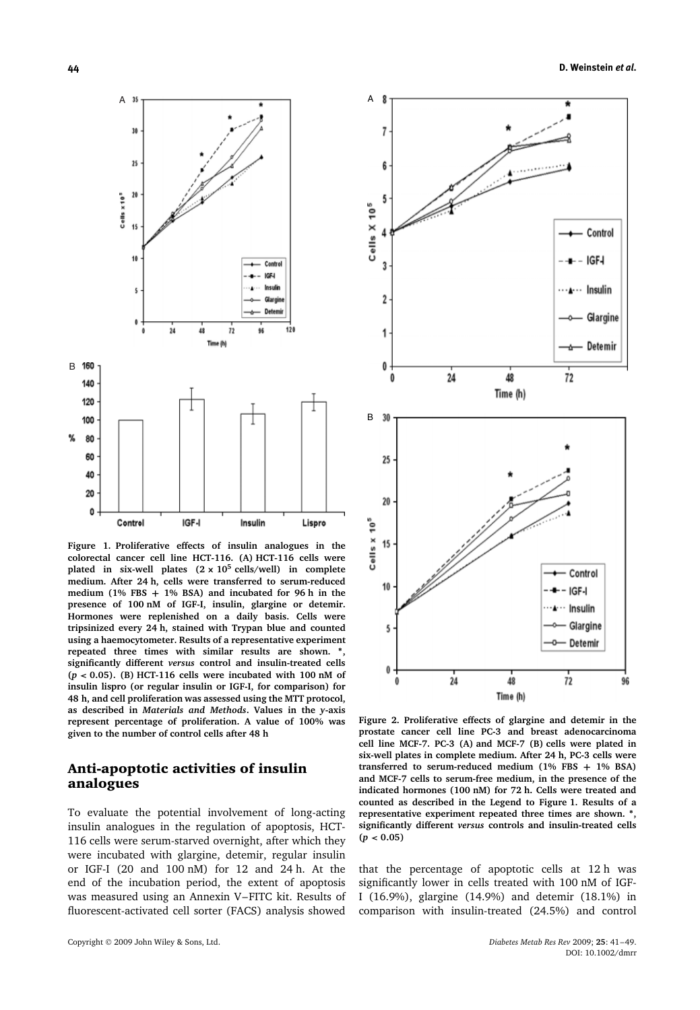

**Figure 1. Proliferative effects of insulin analogues in the colorectal cancer cell line HCT-116. (A) HCT-116 cells were plated in six-well plates (2 <sup>×</sup> 105 cells/well) in complete medium. After 24 h, cells were transferred to serum-reduced medium (1% FBS + 1% BSA) and incubated for 96 h in the presence of 100 nM of IGF-I, insulin, glargine or detemir. Hormones were replenished on a daily basis. Cells were tripsinized every 24 h, stained with Trypan blue and counted using a haemocytometer. Results of a representative experiment repeated three times with similar results are shown. ∗, significantly different** *versus* **control and insulin-treated cells (***p <* **0***.***05). (B) HCT-116 cells were incubated with 100 nM of insulin lispro (or regular insulin or IGF-I, for comparison) for 48 h, and cell proliferation was assessed using the MTT protocol, as described in** *Materials and Methods***. Values in the** *y***-axis represent percentage of proliferation. A value of 100% was given to the number of control cells after 48 h**

### Anti-apoptotic activities of insulin analogues

To evaluate the potential involvement of long-acting insulin analogues in the regulation of apoptosis, HCT-116 cells were serum-starved overnight, after which they were incubated with glargine, detemir, regular insulin or IGF-I (20 and 100 nM) for 12 and 24 h. At the end of the incubation period, the extent of apoptosis was measured using an Annexin V–FITC kit. Results of fluorescent-activated cell sorter (FACS) analysis showed



A

8

**Figure 2. Proliferative effects of glargine and detemir in the prostate cancer cell line PC-3 and breast adenocarcinoma cell line MCF-7. PC-3 (A) and MCF-7 (B) cells were plated in six-well plates in complete medium. After 24 h, PC-3 cells were transferred to serum-reduced medium (1% FBS + 1% BSA) and MCF-7 cells to serum-free medium, in the presence of the indicated hormones (100 nM) for 72 h. Cells were treated and counted as described in the Legend to Figure 1. Results of a representative experiment repeated three times are shown. ∗, significantly different** *versus* **controls and insulin-treated cells**  $(p < 0.05)$ 

that the percentage of apoptotic cells at 12 h was significantly lower in cells treated with 100 nM of IGF-I (16.9%), glargine (14.9%) and detemir (18.1%) in comparison with insulin-treated (24.5%) and control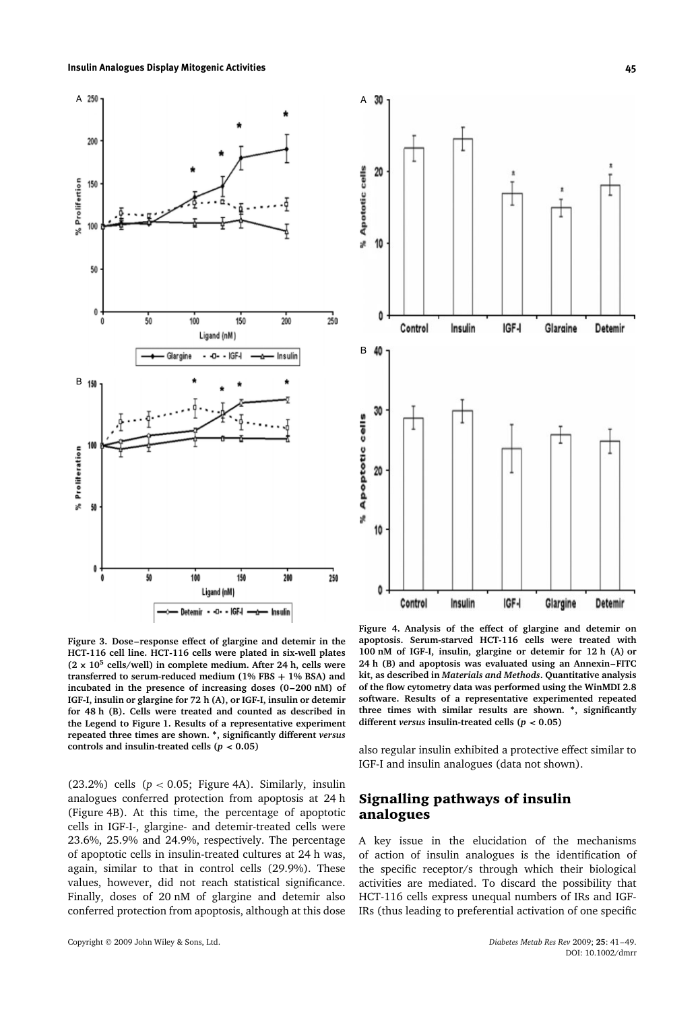



**Figure 3. Dose–response effect of glargine and detemir in the HCT-116 cell line. HCT-116 cells were plated in six-well plates (2 <sup>×</sup> 105 cells/well) in complete medium. After 24 h, cells were transferred to serum-reduced medium (1% FBS + 1% BSA) and incubated in the presence of increasing doses (0–200 nM) of IGF-I, insulin or glargine for 72 h (A), or IGF-I, insulin or detemir for 48 h (B). Cells were treated and counted as described in the Legend to Figure 1. Results of a representative experiment repeated three times are shown. ∗, significantly different** *versus* controls and insulin-treated cells ( $p < 0.05$ )

(23.2%) cells  $(p < 0.05$ ; Figure 4A). Similarly, insulin analogues conferred protection from apoptosis at 24 h (Figure 4B). At this time, the percentage of apoptotic cells in IGF-I-, glargine- and detemir-treated cells were 23.6%, 25.9% and 24.9%, respectively. The percentage of apoptotic cells in insulin-treated cultures at 24 h was, again, similar to that in control cells (29.9%). These values, however, did not reach statistical significance. Finally, doses of 20 nM of glargine and detemir also conferred protection from apoptosis, although at this dose

**Figure 4. Analysis of the effect of glargine and detemir on apoptosis. Serum-starved HCT-116 cells were treated with 100 nM of IGF-I, insulin, glargine or detemir for 12 h (A) or 24 h (B) and apoptosis was evaluated using an Annexin–FITC kit, as described in** *Materials and Methods***. Quantitative analysis of the flow cytometry data was performed using the WinMDI 2.8 software. Results of a representative experimented repeated three times with similar results are shown. ∗, significantly different** *versus* **insulin-treated cells (***p <* **0***.***05)**

also regular insulin exhibited a protective effect similar to IGF-I and insulin analogues (data not shown).

### Signalling pathways of insulin analogues

A key issue in the elucidation of the mechanisms of action of insulin analogues is the identification of the specific receptor/s through which their biological activities are mediated. To discard the possibility that HCT-116 cells express unequal numbers of IRs and IGF-IRs (thus leading to preferential activation of one specific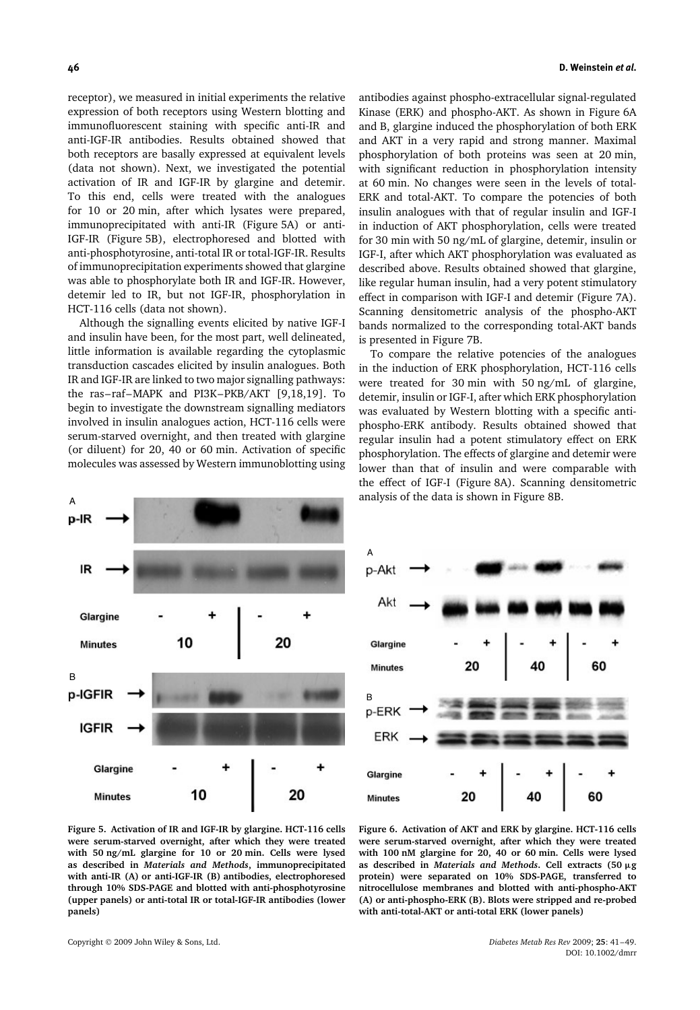receptor), we measured in initial experiments the relative expression of both receptors using Western blotting and immunofluorescent staining with specific anti-IR and anti-IGF-IR antibodies. Results obtained showed that both receptors are basally expressed at equivalent levels (data not shown). Next, we investigated the potential activation of IR and IGF-IR by glargine and detemir. To this end, cells were treated with the analogues for 10 or 20 min, after which lysates were prepared, immunoprecipitated with anti-IR (Figure 5A) or anti-IGF-IR (Figure 5B), electrophoresed and blotted with anti-phosphotyrosine, anti-total IR or total-IGF-IR. Results of immunoprecipitation experiments showed that glargine was able to phosphorylate both IR and IGF-IR. However, detemir led to IR, but not IGF-IR, phosphorylation in HCT-116 cells (data not shown).

Although the signalling events elicited by native IGF-I and insulin have been, for the most part, well delineated, little information is available regarding the cytoplasmic transduction cascades elicited by insulin analogues. Both IR and IGF-IR are linked to two major signalling pathways: the ras–raf–MAPK and PI3K–PKB/AKT [9,18,19]. To begin to investigate the downstream signalling mediators involved in insulin analogues action, HCT-116 cells were serum-starved overnight, and then treated with glargine (or diluent) for 20, 40 or 60 min. Activation of specific molecules was assessed by Western immunoblotting using

antibodies against phospho-extracellular signal-regulated Kinase (ERK) and phospho-AKT. As shown in Figure 6A and B, glargine induced the phosphorylation of both ERK and AKT in a very rapid and strong manner. Maximal phosphorylation of both proteins was seen at 20 min, with significant reduction in phosphorylation intensity at 60 min. No changes were seen in the levels of total-ERK and total-AKT. To compare the potencies of both insulin analogues with that of regular insulin and IGF-I in induction of AKT phosphorylation, cells were treated for 30 min with 50 ng/mL of glargine, detemir, insulin or IGF-I, after which AKT phosphorylation was evaluated as described above. Results obtained showed that glargine, like regular human insulin, had a very potent stimulatory effect in comparison with IGF-I and detemir (Figure 7A). Scanning densitometric analysis of the phospho-AKT bands normalized to the corresponding total-AKT bands is presented in Figure 7B.

To compare the relative potencies of the analogues in the induction of ERK phosphorylation, HCT-116 cells were treated for 30 min with 50 ng/mL of glargine, detemir, insulin or IGF-I, after which ERK phosphorylation was evaluated by Western blotting with a specific antiphospho-ERK antibody. Results obtained showed that regular insulin had a potent stimulatory effect on ERK phosphorylation. The effects of glargine and detemir were lower than that of insulin and were comparable with the effect of IGF-I (Figure 8A). Scanning densitometric analysis of the data is shown in Figure 8B.





**Figure 5. Activation of IR and IGF-IR by glargine. HCT-116 cells were serum-starved overnight, after which they were treated with 50 ng/mL glargine for 10 or 20 min. Cells were lysed as described in** *Materials and Methods***, immunoprecipitated with anti-IR (A) or anti-IGF-IR (B) antibodies, electrophoresed through 10% SDS-PAGE and blotted with anti-phosphotyrosine (upper panels) or anti-total IR or total-IGF-IR antibodies (lower panels)**

**Figure 6. Activation of AKT and ERK by glargine. HCT-116 cells were serum-starved overnight, after which they were treated with 100 nM glargine for 20, 40 or 60 min. Cells were lysed as described in** *Materials and Methods***. Cell extracts (50 µg protein) were separated on 10% SDS-PAGE, transferred to nitrocellulose membranes and blotted with anti-phospho-AKT (A) or anti-phospho-ERK (B). Blots were stripped and re-probed with anti-total-AKT or anti-total ERK (lower panels)**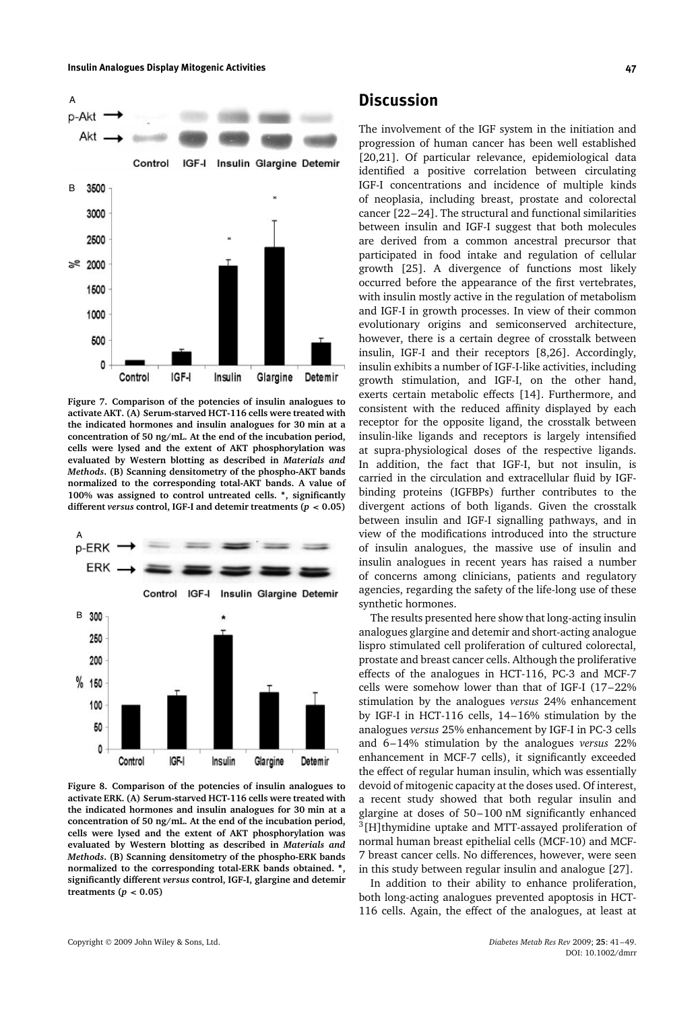

**Figure 7. Comparison of the potencies of insulin analogues to activate AKT. (A) Serum-starved HCT-116 cells were treated with the indicated hormones and insulin analogues for 30 min at a concentration of 50 ng/mL. At the end of the incubation period, cells were lysed and the extent of AKT phosphorylation was evaluated by Western blotting as described in** *Materials and Methods***. (B) Scanning densitometry of the phospho-AKT bands normalized to the corresponding total-AKT bands. A value of 100% was assigned to control untreated cells. ∗, significantly different** *versus* **control, IGF-I and detemir treatments (***p <* **0***.***05)**



**Figure 8. Comparison of the potencies of insulin analogues to activate ERK. (A) Serum-starved HCT-116 cells were treated with the indicated hormones and insulin analogues for 30 min at a concentration of 50 ng/mL. At the end of the incubation period, cells were lysed and the extent of AKT phosphorylation was evaluated by Western blotting as described in** *Materials and Methods***. (B) Scanning densitometry of the phospho-ERK bands normalized to the corresponding total-ERK bands obtained. ∗, significantly different** *versus* **control, IGF-I, glargine and detemir treatments (***p <* **0***.***05)**

### **Discussion**

The involvement of the IGF system in the initiation and progression of human cancer has been well established [20,21]. Of particular relevance, epidemiological data identified a positive correlation between circulating IGF-I concentrations and incidence of multiple kinds of neoplasia, including breast, prostate and colorectal cancer [22–24]. The structural and functional similarities between insulin and IGF-I suggest that both molecules are derived from a common ancestral precursor that participated in food intake and regulation of cellular growth [25]. A divergence of functions most likely occurred before the appearance of the first vertebrates, with insulin mostly active in the regulation of metabolism and IGF-I in growth processes. In view of their common evolutionary origins and semiconserved architecture, however, there is a certain degree of crosstalk between insulin, IGF-I and their receptors [8,26]. Accordingly, insulin exhibits a number of IGF-I-like activities, including growth stimulation, and IGF-I, on the other hand, exerts certain metabolic effects [14]. Furthermore, and consistent with the reduced affinity displayed by each receptor for the opposite ligand, the crosstalk between insulin-like ligands and receptors is largely intensified at supra-physiological doses of the respective ligands. In addition, the fact that IGF-I, but not insulin, is carried in the circulation and extracellular fluid by IGFbinding proteins (IGFBPs) further contributes to the divergent actions of both ligands. Given the crosstalk between insulin and IGF-I signalling pathways, and in view of the modifications introduced into the structure of insulin analogues, the massive use of insulin and insulin analogues in recent years has raised a number of concerns among clinicians, patients and regulatory agencies, regarding the safety of the life-long use of these synthetic hormones.

The results presented here show that long-acting insulin analogues glargine and detemir and short-acting analogue lispro stimulated cell proliferation of cultured colorectal, prostate and breast cancer cells. Although the proliferative effects of the analogues in HCT-116, PC-3 and MCF-7 cells were somehow lower than that of IGF-I (17–22% stimulation by the analogues *versus* 24% enhancement by IGF-I in HCT-116 cells, 14–16% stimulation by the analogues *versus* 25% enhancement by IGF-I in PC-3 cells and 6–14% stimulation by the analogues *versus* 22% enhancement in MCF-7 cells), it significantly exceeded the effect of regular human insulin, which was essentially devoid of mitogenic capacity at the doses used. Of interest, a recent study showed that both regular insulin and glargine at doses of 50–100 nM significantly enhanced 3[H]thymidine uptake and MTT-assayed proliferation of normal human breast epithelial cells (MCF-10) and MCF-7 breast cancer cells. No differences, however, were seen in this study between regular insulin and analogue [27].

In addition to their ability to enhance proliferation, both long-acting analogues prevented apoptosis in HCT-116 cells. Again, the effect of the analogues, at least at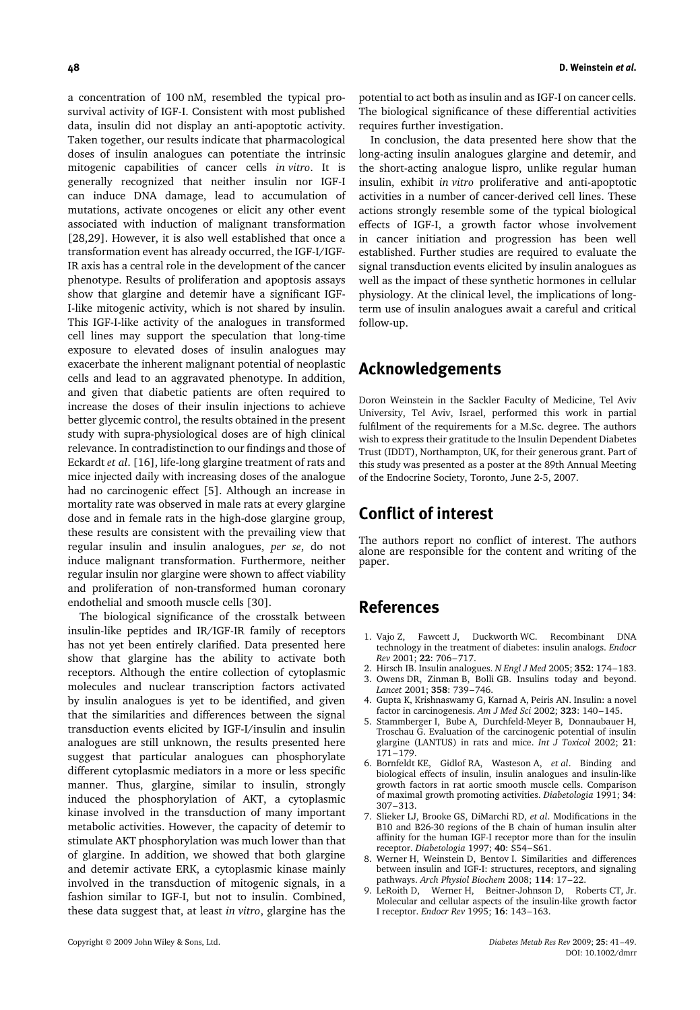a concentration of 100 nM, resembled the typical prosurvival activity of IGF-I. Consistent with most published data, insulin did not display an anti-apoptotic activity. Taken together, our results indicate that pharmacological doses of insulin analogues can potentiate the intrinsic mitogenic capabilities of cancer cells *in vitro*. It is generally recognized that neither insulin nor IGF-I can induce DNA damage, lead to accumulation of mutations, activate oncogenes or elicit any other event associated with induction of malignant transformation [28,29]. However, it is also well established that once a transformation event has already occurred, the IGF-I/IGF-IR axis has a central role in the development of the cancer phenotype. Results of proliferation and apoptosis assays show that glargine and detemir have a significant IGF-I-like mitogenic activity, which is not shared by insulin. This IGF-I-like activity of the analogues in transformed cell lines may support the speculation that long-time exposure to elevated doses of insulin analogues may exacerbate the inherent malignant potential of neoplastic cells and lead to an aggravated phenotype. In addition, and given that diabetic patients are often required to increase the doses of their insulin injections to achieve better glycemic control, the results obtained in the present study with supra-physiological doses are of high clinical relevance. In contradistinction to our findings and those of Eckardt *et al*. [16], life-long glargine treatment of rats and mice injected daily with increasing doses of the analogue had no carcinogenic effect [5]. Although an increase in mortality rate was observed in male rats at every glargine dose and in female rats in the high-dose glargine group, these results are consistent with the prevailing view that regular insulin and insulin analogues, *per se*, do not induce malignant transformation. Furthermore, neither regular insulin nor glargine were shown to affect viability and proliferation of non-transformed human coronary endothelial and smooth muscle cells [30].

The biological significance of the crosstalk between insulin-like peptides and IR/IGF-IR family of receptors has not yet been entirely clarified. Data presented here show that glargine has the ability to activate both receptors. Although the entire collection of cytoplasmic molecules and nuclear transcription factors activated by insulin analogues is yet to be identified, and given that the similarities and differences between the signal transduction events elicited by IGF-I/insulin and insulin analogues are still unknown, the results presented here suggest that particular analogues can phosphorylate different cytoplasmic mediators in a more or less specific manner. Thus, glargine, similar to insulin, strongly induced the phosphorylation of AKT, a cytoplasmic kinase involved in the transduction of many important metabolic activities. However, the capacity of detemir to stimulate AKT phosphorylation was much lower than that of glargine. In addition, we showed that both glargine and detemir activate ERK, a cytoplasmic kinase mainly involved in the transduction of mitogenic signals, in a fashion similar to IGF-I, but not to insulin. Combined, these data suggest that, at least *in vitro*, glargine has the

potential to act both as insulin and as IGF-I on cancer cells. The biological significance of these differential activities requires further investigation.

In conclusion, the data presented here show that the long-acting insulin analogues glargine and detemir, and the short-acting analogue lispro, unlike regular human insulin, exhibit *in vitro* proliferative and anti-apoptotic activities in a number of cancer-derived cell lines. These actions strongly resemble some of the typical biological effects of IGF-I, a growth factor whose involvement in cancer initiation and progression has been well established. Further studies are required to evaluate the signal transduction events elicited by insulin analogues as well as the impact of these synthetic hormones in cellular physiology. At the clinical level, the implications of longterm use of insulin analogues await a careful and critical follow-up.

### **Acknowledgements**

Doron Weinstein in the Sackler Faculty of Medicine, Tel Aviv University, Tel Aviv, Israel, performed this work in partial fulfilment of the requirements for a M.Sc. degree. The authors wish to express their gratitude to the Insulin Dependent Diabetes Trust (IDDT), Northampton, UK, for their generous grant. Part of this study was presented as a poster at the 89th Annual Meeting of the Endocrine Society, Toronto, June 2-5, 2007.

### **Conflict of interest**

The authors report no conflict of interest. The authors alone are responsible for the content and writing of the paper.

### **References**

- 1. Vajo Z, Fawcett J, Duckworth WC. Recombinant DNA technology in the treatment of diabetes: insulin analogs. *Endocr Rev* 2001; **22**: 706–717.
- 2. Hirsch IB. Insulin analogues. *N Engl J Med* 2005; **352**: 174–183.
- 3. Owens DR, Zinman B, Bolli GB. Insulins today and beyond. *Lancet* 2001; **358**: 739–746.
- 4. Gupta K, Krishnaswamy G, Karnad A, Peiris AN. Insulin: a novel factor in carcinogenesis. *Am J Med Sci* 2002; **323**: 140–145.
- 5. Stammberger I, Bube A, Durchfeld-Meyer B, Donnaubauer H, Troschau G. Evaluation of the carcinogenic potential of insulin glargine (LANTUS) in rats and mice. *Int J Toxicol* 2002; **21**: 171–179.
- 6. Bornfeldt KE, Gidlof RA, Wasteson A, *et al*. Binding and biological effects of insulin, insulin analogues and insulin-like growth factors in rat aortic smooth muscle cells. Comparison of maximal growth promoting activities. *Diabetologia* 1991; **34**: 307–313.
- 7. Slieker LJ, Brooke GS, DiMarchi RD, *et al*. Modifications in the B10 and B26-30 regions of the B chain of human insulin alter affinity for the human IGF-I receptor more than for the insulin receptor. *Diabetologia* 1997; **40**: S54–S61.
- 8. Werner H, Weinstein D, Bentov I. Similarities and differences between insulin and IGF-I: structures, receptors, and signaling pathways. *Arch Physiol Biochem* 2008; **114**: 17–22.
- 9. LeRoith D, Werner H, Beitner-Johnson D, Roberts CT, Jr. Molecular and cellular aspects of the insulin-like growth factor I receptor. *Endocr Rev* 1995; **16**: 143–163.